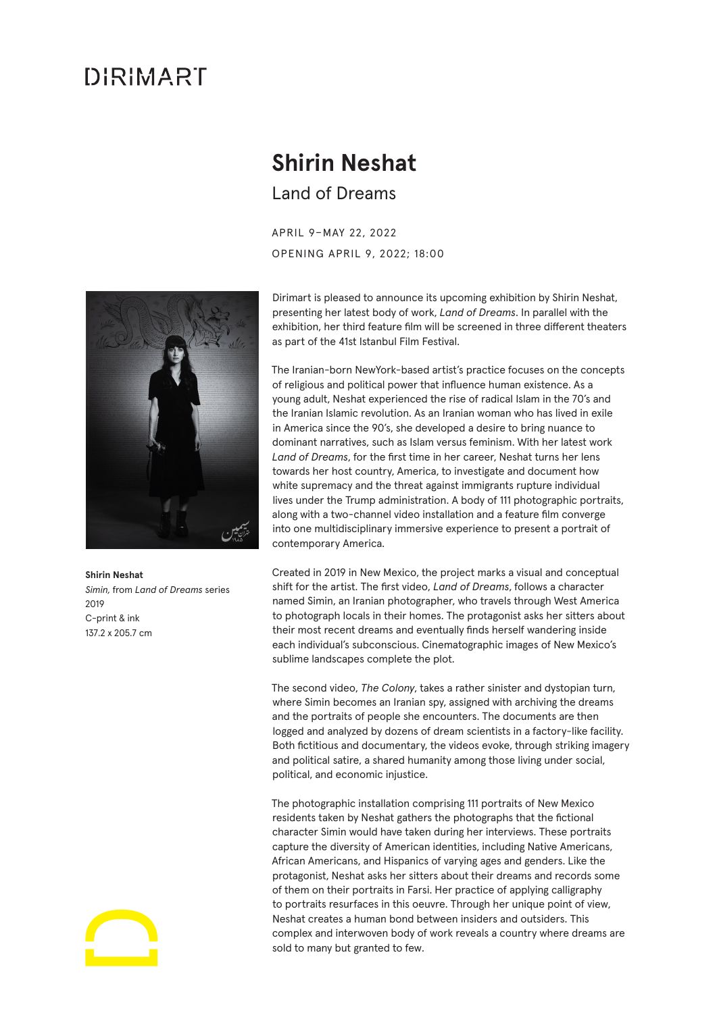## DIRIMART

## **Shirin Neshat** Land of Dreams

APRIL 9–MAY 22, 2022 OPENING APRIL 9, 2022; 18:00



**Shirin Neshat** *Simin,* from *Land of Dreams* series  $2010$ C-print & ink 137.2 x 205.7 cm

Dirimart is pleased to announce its upcoming exhibition by Shirin Neshat, presenting her latest body of work, *Land of Dreams*. In parallel with the exhibition, her third feature film will be screened in three different theaters as part of the 41st Istanbul Film Festival.

The Iranian-born NewYork-based artist's practice focuses on the concepts of religious and political power that influence human existence. As a young adult, Neshat experienced the rise of radical Islam in the 70's and the Iranian Islamic revolution. As an Iranian woman who has lived in exile in America since the 90's, she developed a desire to bring nuance to dominant narratives, such as Islam versus feminism. With her latest work *Land of Dreams*, for the first time in her career, Neshat turns her lens towards her host country, America, to investigate and document how white supremacy and the threat against immigrants rupture individual lives under the Trump administration. A body of 111 photographic portraits, along with a two-channel video installation and a feature film converge into one multidisciplinary immersive experience to present a portrait of contemporary America.

Created in 2019 in New Mexico, the project marks a visual and conceptual shift for the artist. The first video, *Land of Dreams*, follows a character named Simin, an Iranian photographer, who travels through West America to photograph locals in their homes. The protagonist asks her sitters about their most recent dreams and eventually finds herself wandering inside each individual's subconscious. Cinematographic images of New Mexico's sublime landscapes complete the plot.

The second video, *The Colony*, takes a rather sinister and dystopian turn, where Simin becomes an Iranian spy, assigned with archiving the dreams and the portraits of people she encounters. The documents are then logged and analyzed by dozens of dream scientists in a factory-like facility. Both fictitious and documentary, the videos evoke, through striking imagery and political satire, a shared humanity among those living under social, political, and economic injustice.

The photographic installation comprising 111 portraits of New Mexico residents taken by Neshat gathers the photographs that the fictional character Simin would have taken during her interviews. These portraits capture the diversity of American identities, including Native Americans, African Americans, and Hispanics of varying ages and genders. Like the protagonist, Neshat asks her sitters about their dreams and records some of them on their portraits in Farsi. Her practice of applying calligraphy to portraits resurfaces in this oeuvre. Through her unique point of view, Neshat creates a human bond between insiders and outsiders. This complex and interwoven body of work reveals a country where dreams are sold to many but granted to few.